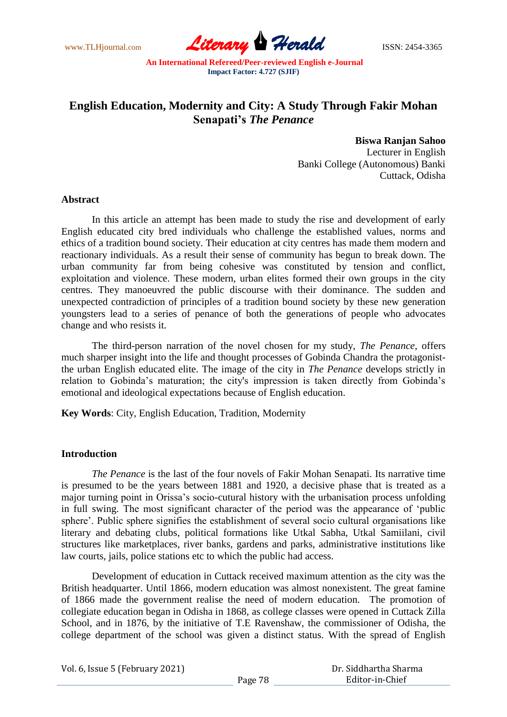www.TLHjournal.com **Literary Herald ISSN: 2454-3365** 

# **English Education, Modernity and City: A Study Through Fakir Mohan Senapati's** *The Penance*

**Biswa Ranjan Sahoo** Lecturer in English Banki College (Autonomous) Banki Cuttack, Odisha

#### **Abstract**

In this article an attempt has been made to study the rise and development of early English educated city bred individuals who challenge the established values, norms and ethics of a tradition bound society. Their education at city centres has made them modern and reactionary individuals. As a result their sense of community has begun to break down. The urban community far from being cohesive was constituted by tension and conflict, exploitation and violence. These modern, urban elites formed their own groups in the city centres. They manoeuvred the public discourse with their dominance. The sudden and unexpected contradiction of principles of a tradition bound society by these new generation youngsters lead to a series of penance of both the generations of people who advocates change and who resists it.

The third-person narration of the novel chosen for my study, *The Penance,* offers much sharper insight into the life and thought processes of Gobinda Chandra the protagonistthe urban English educated elite. The image of the city in *The Penance* develops strictly in relation to Gobinda"s maturation; the city's impression is taken directly from Gobinda"s emotional and ideological expectations because of English education.

**Key Words**: City, English Education, Tradition, Modernity

### **Introduction**

*The Penance* is the last of the four novels of Fakir Mohan Senapati. Its narrative time is presumed to be the years between 1881 and 1920, a decisive phase that is treated as a major turning point in Orissa"s socio-cutural history with the urbanisation process unfolding in full swing. The most significant character of the period was the appearance of "public sphere". Public sphere signifies the establishment of several socio cultural organisations like literary and debating clubs, political formations like Utkal Sabha, Utkal Samiilani, civil structures like marketplaces, river banks, gardens and parks, administrative institutions like law courts, jails, police stations etc to which the public had access.

Development of education in Cuttack received maximum attention as the city was the British headquarter. Until 1866, modern education was almost nonexistent. The great famine of 1866 made the government realise the need of modern education. The promotion of collegiate education began in Odisha in 1868, as college classes were opened in Cuttack Zilla School, and in 1876, by the initiative of T.E Ravenshaw, the commissioner of Odisha, the college department of the school was given a distinct status. With the spread of English

Vol. 6, Issue 5 (February 2021)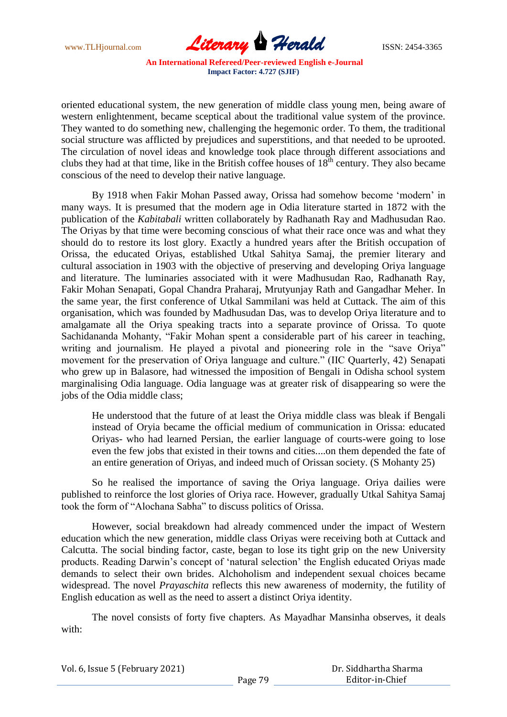

oriented educational system, the new generation of middle class young men, being aware of western enlightenment, became sceptical about the traditional value system of the province. They wanted to do something new, challenging the hegemonic order. To them, the traditional social structure was afflicted by prejudices and superstitions, and that needed to be uprooted. The circulation of novel ideas and knowledge took place through different associations and clubs they had at that time, like in the British coffee houses of  $18<sup>th</sup>$  century. They also became conscious of the need to develop their native language.

By 1918 when Fakir Mohan Passed away, Orissa had somehow become "modern" in many ways. It is presumed that the modern age in Odia literature started in 1872 with the publication of the *Kabitabali* written collaborately by Radhanath Ray and Madhusudan Rao. The Oriyas by that time were becoming conscious of what their race once was and what they should do to restore its lost glory. Exactly a hundred years after the British occupation of Orissa, the educated Oriyas, established Utkal Sahitya Samaj, the premier literary and cultural association in 1903 with the objective of preserving and developing Oriya language and literature. The luminaries associated with it were Madhusudan Rao, Radhanath Ray, Fakir Mohan Senapati, Gopal Chandra Praharaj, Mrutyunjay Rath and Gangadhar Meher. In the same year, the first conference of Utkal Sammilani was held at Cuttack. The aim of this organisation, which was founded by Madhusudan Das, was to develop Oriya literature and to amalgamate all the Oriya speaking tracts into a separate province of Orissa. To quote Sachidananda Mohanty, "Fakir Mohan spent a considerable part of his career in teaching, writing and journalism. He played a pivotal and pioneering role in the "save Oriya" movement for the preservation of Oriya language and culture." (IIC Quarterly, 42) Senapati who grew up in Balasore, had witnessed the imposition of Bengali in Odisha school system marginalising Odia language. Odia language was at greater risk of disappearing so were the jobs of the Odia middle class;

He understood that the future of at least the Oriya middle class was bleak if Bengali instead of Oryia became the official medium of communication in Orissa: educated Oriyas- who had learned Persian, the earlier language of courts-were going to lose even the few jobs that existed in their towns and cities....on them depended the fate of an entire generation of Oriyas, and indeed much of Orissan society. (S Mohanty 25)

So he realised the importance of saving the Oriya language. Oriya dailies were published to reinforce the lost glories of Oriya race. However, gradually Utkal Sahitya Samaj took the form of "Alochana Sabha" to discuss politics of Orissa.

However, social breakdown had already commenced under the impact of Western education which the new generation, middle class Oriyas were receiving both at Cuttack and Calcutta. The social binding factor, caste, began to lose its tight grip on the new University products. Reading Darwin"s concept of "natural selection" the English educated Oriyas made demands to select their own brides. Alchoholism and independent sexual choices became widespread. The novel *Prayaschita* reflects this new awareness of modernity, the futility of English education as well as the need to assert a distinct Oriya identity.

The novel consists of forty five chapters. As Mayadhar Mansinha observes, it deals with: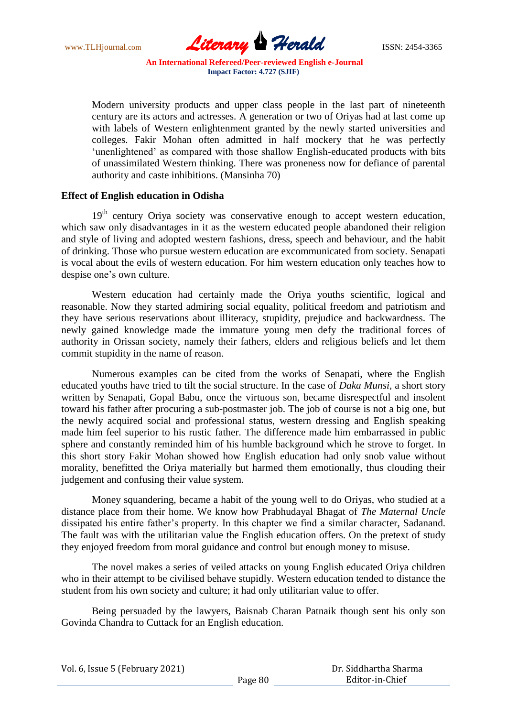www.TLHjournal.com **Literary Herald ISSN: 2454-3365** 

Modern university products and upper class people in the last part of nineteenth century are its actors and actresses. A generation or two of Oriyas had at last come up with labels of Western enlightenment granted by the newly started universities and colleges. Fakir Mohan often admitted in half mockery that he was perfectly 'unenlightened' as compared with those shallow English-educated products with bits of unassimilated Western thinking. There was proneness now for defiance of parental authority and caste inhibitions. (Mansinha 70)

#### **Effect of English education in Odisha**

 $19<sup>th</sup>$  century Oriya society was conservative enough to accept western education, which saw only disadvantages in it as the western educated people abandoned their religion and style of living and adopted western fashions, dress, speech and behaviour, and the habit of drinking. Those who pursue western education are excommunicated from society. Senapati is vocal about the evils of western education. For him western education only teaches how to despise one's own culture.

Western education had certainly made the Oriya youths scientific, logical and reasonable. Now they started admiring social equality, political freedom and patriotism and they have serious reservations about illiteracy, stupidity, prejudice and backwardness. The newly gained knowledge made the immature young men defy the traditional forces of authority in Orissan society, namely their fathers, elders and religious beliefs and let them commit stupidity in the name of reason.

Numerous examples can be cited from the works of Senapati, where the English educated youths have tried to tilt the social structure. In the case of *Daka Munsi,* a short story written by Senapati, Gopal Babu, once the virtuous son, became disrespectful and insolent toward his father after procuring a sub-postmaster job. The job of course is not a big one, but the newly acquired social and professional status, western dressing and English speaking made him feel superior to his rustic father. The difference made him embarrassed in public sphere and constantly reminded him of his humble background which he strove to forget. In this short story Fakir Mohan showed how English education had only snob value without morality, benefitted the Oriya materially but harmed them emotionally, thus clouding their judgement and confusing their value system.

Money squandering, became a habit of the young well to do Oriyas, who studied at a distance place from their home. We know how Prabhudayal Bhagat of *The Maternal Uncle*  dissipated his entire father"s property. In this chapter we find a similar character, Sadanand. The fault was with the utilitarian value the English education offers. On the pretext of study they enjoyed freedom from moral guidance and control but enough money to misuse.

The novel makes a series of veiled attacks on young English educated Oriya children who in their attempt to be civilised behave stupidly. Western education tended to distance the student from his own society and culture; it had only utilitarian value to offer.

Being persuaded by the lawyers, Baisnab Charan Patnaik though sent his only son Govinda Chandra to Cuttack for an English education.

|  |  | Vol. 6, Issue 5 (February 2021) |  |
|--|--|---------------------------------|--|
|--|--|---------------------------------|--|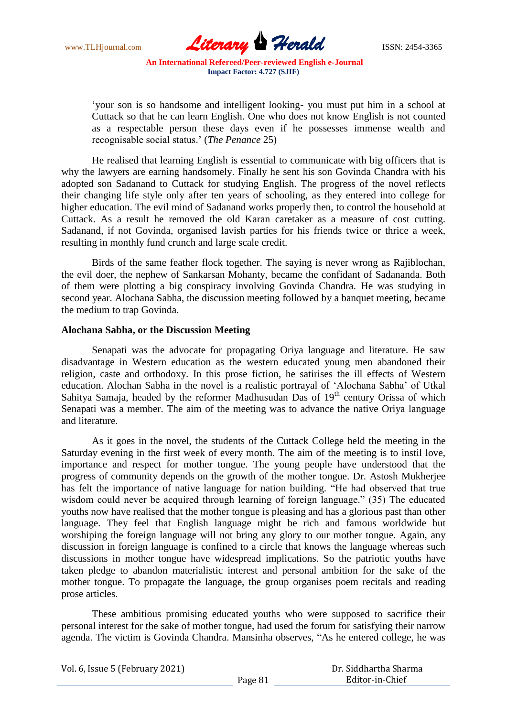www.TLHjournal.com **Literary Herald ISSN: 2454-3365** 

"your son is so handsome and intelligent looking- you must put him in a school at Cuttack so that he can learn English. One who does not know English is not counted as a respectable person these days even if he possesses immense wealth and recognisable social status." (*The Penance* 25)

He realised that learning English is essential to communicate with big officers that is why the lawyers are earning handsomely. Finally he sent his son Govinda Chandra with his adopted son Sadanand to Cuttack for studying English. The progress of the novel reflects their changing life style only after ten years of schooling, as they entered into college for higher education. The evil mind of Sadanand works properly then, to control the household at Cuttack. As a result he removed the old Karan caretaker as a measure of cost cutting. Sadanand, if not Govinda, organised lavish parties for his friends twice or thrice a week, resulting in monthly fund crunch and large scale credit.

Birds of the same feather flock together. The saying is never wrong as Rajiblochan, the evil doer, the nephew of Sankarsan Mohanty, became the confidant of Sadananda. Both of them were plotting a big conspiracy involving Govinda Chandra. He was studying in second year. Alochana Sabha, the discussion meeting followed by a banquet meeting, became the medium to trap Govinda.

## **Alochana Sabha, or the Discussion Meeting**

Senapati was the advocate for propagating Oriya language and literature. He saw disadvantage in Western education as the western educated young men abandoned their religion, caste and orthodoxy. In this prose fiction, he satirises the ill effects of Western education. Alochan Sabha in the novel is a realistic portrayal of "Alochana Sabha" of Utkal Sahitya Samaja, headed by the reformer Madhusudan Das of  $19<sup>th</sup>$  century Orissa of which Senapati was a member. The aim of the meeting was to advance the native Oriya language and literature.

As it goes in the novel, the students of the Cuttack College held the meeting in the Saturday evening in the first week of every month. The aim of the meeting is to instil love, importance and respect for mother tongue. The young people have understood that the progress of community depends on the growth of the mother tongue. Dr. Astosh Mukherjee has felt the importance of native language for nation building. "He had observed that true wisdom could never be acquired through learning of foreign language." (35) The educated youths now have realised that the mother tongue is pleasing and has a glorious past than other language. They feel that English language might be rich and famous worldwide but worshiping the foreign language will not bring any glory to our mother tongue. Again, any discussion in foreign language is confined to a circle that knows the language whereas such discussions in mother tongue have widespread implications. So the patriotic youths have taken pledge to abandon materialistic interest and personal ambition for the sake of the mother tongue. To propagate the language, the group organises poem recitals and reading prose articles.

These ambitious promising educated youths who were supposed to sacrifice their personal interest for the sake of mother tongue, had used the forum for satisfying their narrow agenda. The victim is Govinda Chandra. Mansinha observes, "As he entered college, he was

Vol. 6, Issue 5 (February 2021)

 Dr. Siddhartha Sharma Editor-in-Chief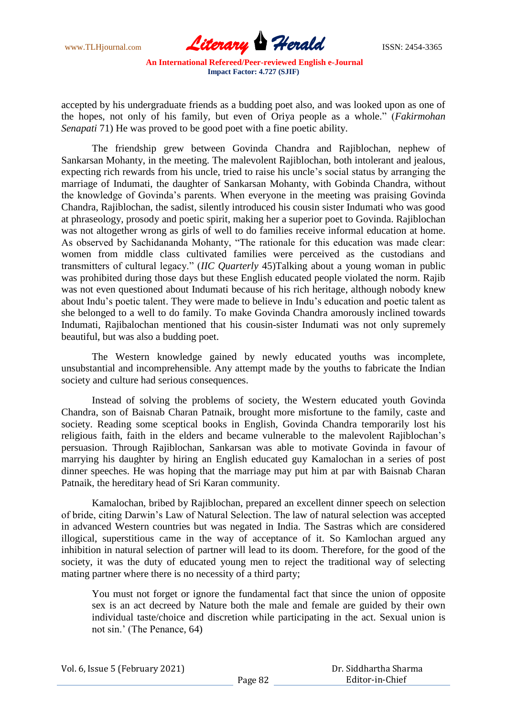

accepted by his undergraduate friends as a budding poet also, and was looked upon as one of the hopes, not only of his family, but even of Oriya people as a whole." (*Fakirmohan Senapati* 71) He was proved to be good poet with a fine poetic ability.

The friendship grew between Govinda Chandra and Rajiblochan, nephew of Sankarsan Mohanty, in the meeting. The malevolent Rajiblochan, both intolerant and jealous, expecting rich rewards from his uncle, tried to raise his uncle"s social status by arranging the marriage of Indumati, the daughter of Sankarsan Mohanty, with Gobinda Chandra, without the knowledge of Govinda"s parents. When everyone in the meeting was praising Govinda Chandra, Rajiblochan, the sadist, silently introduced his cousin sister Indumati who was good at phraseology, prosody and poetic spirit, making her a superior poet to Govinda. Rajiblochan was not altogether wrong as girls of well to do families receive informal education at home. As observed by Sachidananda Mohanty, "The rationale for this education was made clear: women from middle class cultivated families were perceived as the custodians and transmitters of cultural legacy." (*IIC Quarterly* 45)Talking about a young woman in public was prohibited during those days but these English educated people violated the norm. Rajib was not even questioned about Indumati because of his rich heritage, although nobody knew about Indu"s poetic talent. They were made to believe in Indu"s education and poetic talent as she belonged to a well to do family. To make Govinda Chandra amorously inclined towards Indumati, Rajibalochan mentioned that his cousin-sister Indumati was not only supremely beautiful, but was also a budding poet.

The Western knowledge gained by newly educated youths was incomplete, unsubstantial and incomprehensible. Any attempt made by the youths to fabricate the Indian society and culture had serious consequences.

Instead of solving the problems of society, the Western educated youth Govinda Chandra, son of Baisnab Charan Patnaik, brought more misfortune to the family, caste and society. Reading some sceptical books in English, Govinda Chandra temporarily lost his religious faith, faith in the elders and became vulnerable to the malevolent Rajiblochan"s persuasion. Through Rajiblochan, Sankarsan was able to motivate Govinda in favour of marrying his daughter by hiring an English educated guy Kamalochan in a series of post dinner speeches. He was hoping that the marriage may put him at par with Baisnab Charan Patnaik, the hereditary head of Sri Karan community.

Kamalochan, bribed by Rajiblochan, prepared an excellent dinner speech on selection of bride, citing Darwin"s Law of Natural Selection. The law of natural selection was accepted in advanced Western countries but was negated in India. The Sastras which are considered illogical, superstitious came in the way of acceptance of it. So Kamlochan argued any inhibition in natural selection of partner will lead to its doom. Therefore, for the good of the society, it was the duty of educated young men to reject the traditional way of selecting mating partner where there is no necessity of a third party;

You must not forget or ignore the fundamental fact that since the union of opposite sex is an act decreed by Nature both the male and female are guided by their own individual taste/choice and discretion while participating in the act. Sexual union is not sin." (The Penance, 64)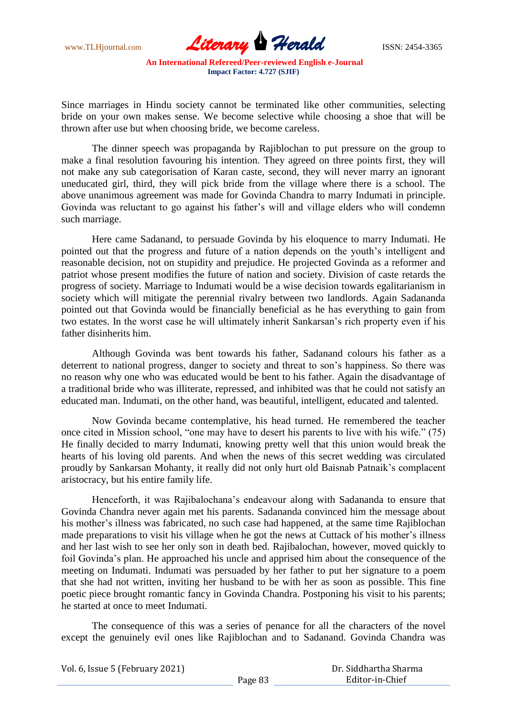www.TLHjournal.com **Literary Herald Herald** ISSN: 2454-3365

Since marriages in Hindu society cannot be terminated like other communities, selecting bride on your own makes sense. We become selective while choosing a shoe that will be thrown after use but when choosing bride, we become careless.

The dinner speech was propaganda by Rajiblochan to put pressure on the group to make a final resolution favouring his intention. They agreed on three points first, they will not make any sub categorisation of Karan caste, second, they will never marry an ignorant uneducated girl, third, they will pick bride from the village where there is a school. The above unanimous agreement was made for Govinda Chandra to marry Indumati in principle. Govinda was reluctant to go against his father"s will and village elders who will condemn such marriage.

Here came Sadanand, to persuade Govinda by his eloquence to marry Indumati. He pointed out that the progress and future of a nation depends on the youth"s intelligent and reasonable decision, not on stupidity and prejudice. He projected Govinda as a reformer and patriot whose present modifies the future of nation and society. Division of caste retards the progress of society. Marriage to Indumati would be a wise decision towards egalitarianism in society which will mitigate the perennial rivalry between two landlords. Again Sadananda pointed out that Govinda would be financially beneficial as he has everything to gain from two estates. In the worst case he will ultimately inherit Sankarsan"s rich property even if his father disinherits him.

Although Govinda was bent towards his father, Sadanand colours his father as a deterrent to national progress, danger to society and threat to son"s happiness. So there was no reason why one who was educated would be bent to his father. Again the disadvantage of a traditional bride who was illiterate, repressed, and inhibited was that he could not satisfy an educated man. Indumati, on the other hand, was beautiful, intelligent, educated and talented.

Now Govinda became contemplative, his head turned. He remembered the teacher once cited in Mission school, "one may have to desert his parents to live with his wife." (75) He finally decided to marry Indumati, knowing pretty well that this union would break the hearts of his loving old parents. And when the news of this secret wedding was circulated proudly by Sankarsan Mohanty, it really did not only hurt old Baisnab Patnaik"s complacent aristocracy, but his entire family life.

Henceforth, it was Rajibalochana"s endeavour along with Sadananda to ensure that Govinda Chandra never again met his parents. Sadananda convinced him the message about his mother's illness was fabricated, no such case had happened, at the same time Rajiblochan made preparations to visit his village when he got the news at Cuttack of his mother"s illness and her last wish to see her only son in death bed. Rajibalochan, however, moved quickly to foil Govinda"s plan. He approached his uncle and apprised him about the consequence of the meeting on Indumati. Indumati was persuaded by her father to put her signature to a poem that she had not written, inviting her husband to be with her as soon as possible. This fine poetic piece brought romantic fancy in Govinda Chandra. Postponing his visit to his parents; he started at once to meet Indumati.

The consequence of this was a series of penance for all the characters of the novel except the genuinely evil ones like Rajiblochan and to Sadanand. Govinda Chandra was

Vol. 6, Issue 5 (February 2021)

 Dr. Siddhartha Sharma Editor-in-Chief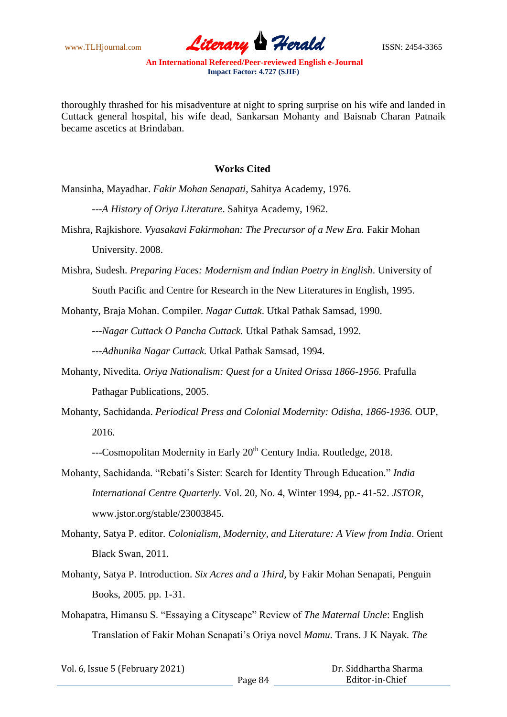www.TLHjournal.com *Literary Herald*ISSN: 2454-3365

thoroughly thrashed for his misadventure at night to spring surprise on his wife and landed in Cuttack general hospital, his wife dead, Sankarsan Mohanty and Baisnab Charan Patnaik became ascetics at Brindaban.

## **Works Cited**

Mansinha, Mayadhar. *Fakir Mohan Senapati*, Sahitya Academy, 1976.

---*A History of Oriya Literature*. Sahitya Academy, 1962.

Mishra, Rajkishore. *Vyasakavi Fakirmohan: The Precursor of a New Era.* Fakir Mohan University. 2008.

Mishra, Sudesh. *Preparing Faces: Modernism and Indian Poetry in English*. University of

South Pacific and Centre for Research in the New Literatures in English, 1995.

Mohanty, Braja Mohan. Compiler. *Nagar Cuttak*. Utkal Pathak Samsad, 1990.

---*Nagar Cuttack O Pancha Cuttack.* Utkal Pathak Samsad, 1992.

---*Adhunika Nagar Cuttack.* Utkal Pathak Samsad, 1994.

- Mohanty, Nivedita. *Oriya Nationalism: Quest for a United Orissa 1866-1956.* Prafulla Pathagar Publications, 2005.
- Mohanty, Sachidanda. *Periodical Press and Colonial Modernity: Odisha, 1866-1936.* OUP, 2016.

---Cosmopolitan Modernity in Early 20<sup>th</sup> Century India. Routledge, 2018.

- Mohanty, Sachidanda. "Rebati"s Sister: Search for Identity Through Education." *India International Centre Quarterly.* Vol. 20, No. 4, Winter 1994, pp.- 41-52. *JSTOR*, www.jstor.org/stable/23003845.
- Mohanty, Satya P. editor. *Colonialism, Modernity, and Literature: A View from India*. Orient Black Swan, 2011.
- Mohanty, Satya P. Introduction. *Six Acres and a Third,* by Fakir Mohan Senapati, Penguin Books, 2005. pp. 1-31.

Mohapatra, Himansu S. "Essaying a Cityscape" Review of *The Maternal Uncle*: English Translation of Fakir Mohan Senapati"s Oriya novel *Mamu*. Trans. J K Nayak. *The* 

| Vol. 6, Issue 5 (February 2021) |         | Dr. Siddhartha Sharma |  |
|---------------------------------|---------|-----------------------|--|
|                                 | Page 84 | Editor-in-Chief       |  |